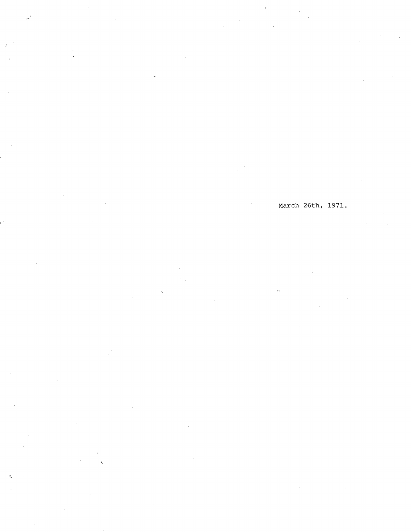## March 26th, 1971.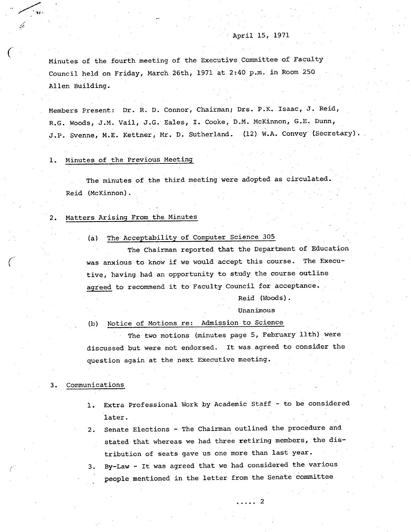Minutes of the fourth meeting of the Executive Committee of Faculty Council held on Friday, March 26th, 1971 at 2:40 p.m. in Room 250 Allen Building.

Members Present: Dr. R. D. Connor, Chairman; Drs. P.K. Isaac, J. Reid, R.G. Woods, J.M. Vail, J.G. Eales, I. Cooke, D.M. NcKinnon, G.E. Dunn, J.P. Svenne, M.E. Kettner, Mr. D. Sutherland. (12) W.A. Convey (Secretary).

## 1. Minutes of the Previous Meeting

/

The minutes of the third meeting were adopted as circulated. Reid (McKinnon).

#### Matters Arising From the Minutes  $2.$

(a) The Acceptability of Computer Science 305

The Chairman reported that the Department of Education was anxious to know if we would accept this course. The Executive, having had an opportunity to study the course outline agreed to recommend it to Faculty Council for acceptance.

Reid (Woods).

## Unanimous

. . . . . 2

(b) Notice of Motions re: Admission to Science

The two motions (minutes page 5, February 11th) were discussed but were not endorsed. It was agreed to consider the question again at the next Executive meeting.

## 3. Communications

- 1. Extra Professional Work by Academic Staff to be considered later.
- 2. Senate Elections The Chairman outlined the procedure and stated that whereas we had three retiring members, the distribution of seats gave us one more than last year.
- 3. By-Law It was agreed that we had considered the various people mentioned in the letter from the Senate committee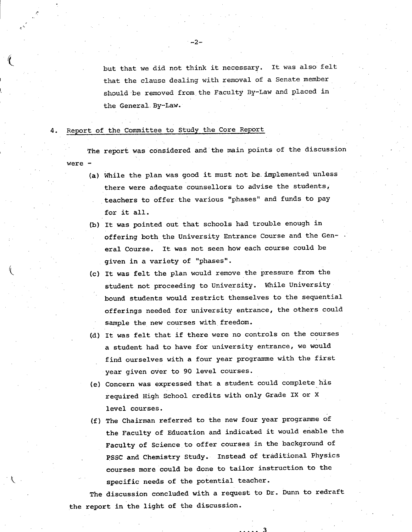but that we did not think it necessary. It was also felt that the clause dealing with removal of a Senate member should be removed from.the Faculty By-Law and placed in the General. By-Law.

## 4. Report of the Committee to Study the Core Report

The report was considered and the main points of the discussion were -

- While the plan was good it must not be. implemented unless there were adequate counsellors to advise the students, teachers to offer the various "phases" and funds to pay for it all.
- (b) It was pointed out that schools had trouble enough in offering both the University Entrance Course and the General Course. It was not seen how each course could be given in a variety of "phases".
- It was felt the plan would remove the pressure from the student not proceeding to University. While University bound students would restrict themselves to the sequential offerings needed for university entrance, the others could sample the new courses with freedom.
- It was felt that if there were no controls on the courses a student had to have for university entrance, we would find ourselves with a four year programme with the first year given over to 90 level courses.
- Concern was expressed that a student could complete his required High School credits with only Grade IX or X level courses.
- (f) The Chairman referred to the new four year programme of the Faculty of Education and indicated it would enable the Faculty of Science to offer courses in the background of PSSC and Chemistry Study. Instead of traditional Physics courses more could be done to tailor instruction to the specific needs of the potential teacher.

The discussion concluded with a request to Dr. Dunn to redraft the report in the light of the discussion.

3

 $-2-$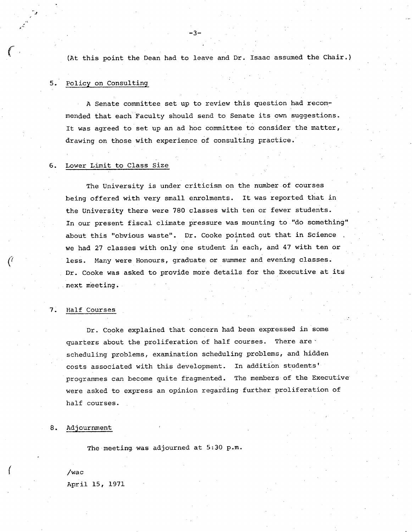(At this point the Dean had to leave and Dr. Isaac assumed the Chair.)

-3-

## 5. Policy on Consulting

A Senate committee set up to review this question had recommended that each Faculty should send to Senate its own suggestions. It was agreed to set up an ad hoc committee to consider the matter, drawing on those with experience of consulting practice.

#### Lower Limit to Class Size 6.

The University is under criticism on the number of courses being offered with very small enrolments. It was reported that in the University there were 780 classes with ten or fewer students. In our present fiscal climate pressure was mounting to "do something" about this "obvious waste". Dr. Cooke pointed out that **in Science**  we had 27 classes with only one student in each, and 47 with ten or less. Many were Honours, graduate or summer and evening classes. Dr. Cooke was asked to provide more details for the Executive at its next meeting.

#### Half Courses 7.

Dr. Cooke explained that concern had been expressed in some quarters about the proliferation of half courses. There are scheduling problems, examination scheduling problems, and hidden costs associated with this development. In addition students' programmes can become quite fragmented. The members of the Executive were asked to express an opinion regarding further proliferation of half courses.

#### 8. Adjournment

The meeting. was adjourned at 5:30 p.m.

 $\int$  /wac . April 15, 1971